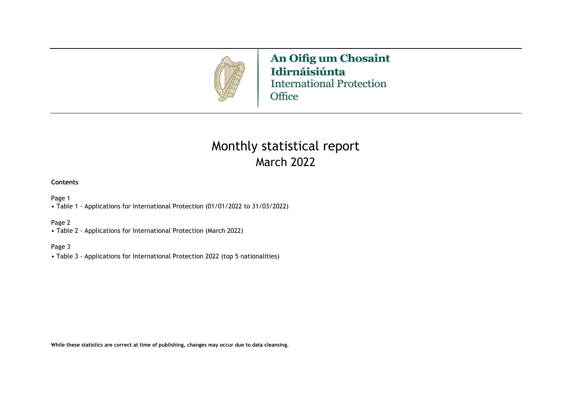

An Oifig um Chosaint Idirnáisiúnta **International Protection** Office

# March 2022 Monthly statistical report

#### **Contents**

Page 1

• Table 1 - Applications for International Protection (01/01/2022 to 31/03/2022)

#### Page 2

• Table 2 - Applications for International Protection (March 2022)

#### Page 3

• Table 3 - Applications for International Protection 2022 (top 5 nationalities)

**While these statistics are correct at time of publishing, changes may occur due to data cleansing.**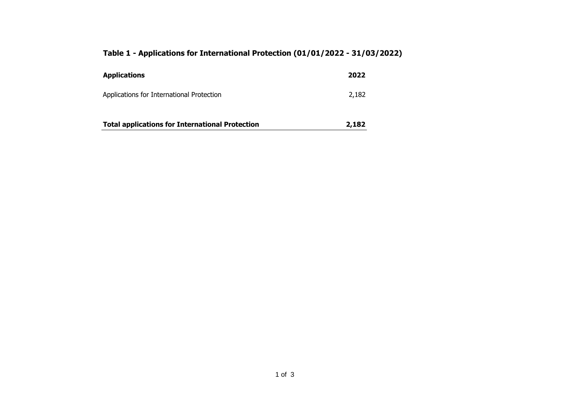## **Table 1 - Applications for International Protection (01/01/2022 - 31/03/2022)**

| <b>Applications</b>                                    | 2022  |
|--------------------------------------------------------|-------|
| Applications for International Protection              | 2,182 |
| <b>Total applications for International Protection</b> | 2,182 |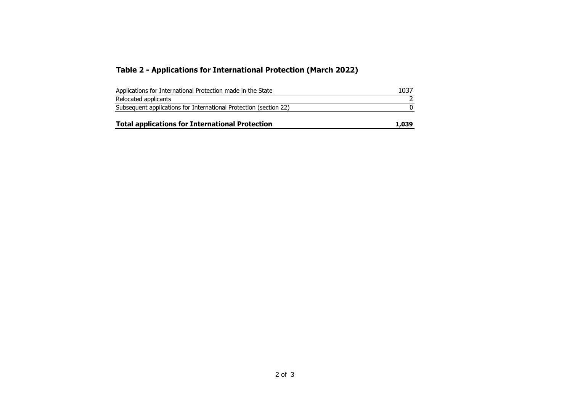### **Table 2 - Applications for International Protection (March 2022)**

| <b>Total applications for International Protection</b>            | 1,039 |
|-------------------------------------------------------------------|-------|
| Subsequent applications for International Protection (section 22) |       |
| Relocated applicants                                              |       |
| Applications for International Protection made in the State       | 1037  |